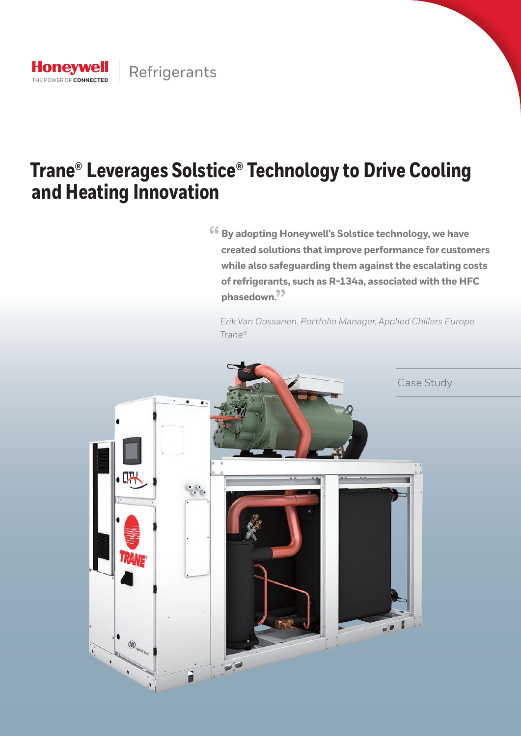

# **Trane® Leverages Solstice® Technology to Drive Cooling and Heating Innovation**

 $66$  By adopting Honeywell's Solstice technology, we have **created solutions that improve performance for customers while also safeguarding them against the escalating costs of refrigerants, such as R-134a, associated with the HFC**  phasedown.<sup>99</sup>

*Erik Van Oossanen, Portfolio Manager, Applied Chillers Europe Trane®* 

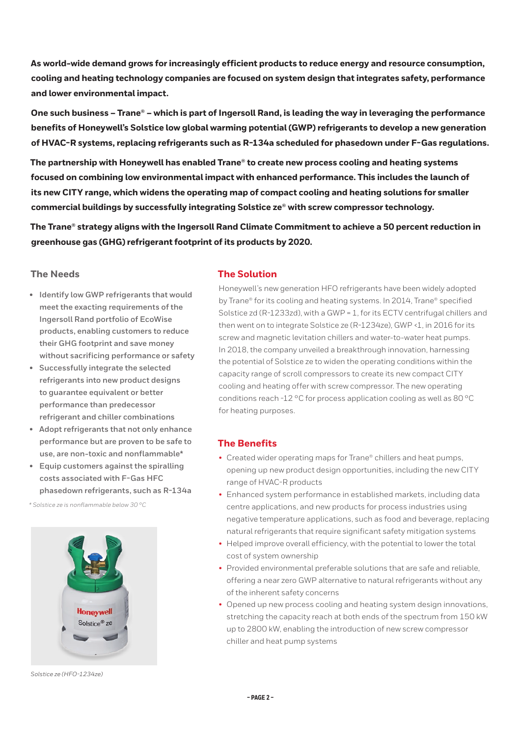**As world-wide demand grows for increasingly efficient products to reduce energy and resource consumption, cooling and heating technology companies are focused on system design that integrates safety, performance and lower environmental impact.** 

**One such business – Trane® – which is part of Ingersoll Rand, is leading the way in leveraging the performance benefits of Honeywell's Solstice low global warming potential (GWP) refrigerants to develop a new generation of HVAC-R systems, replacing refrigerants such as R-134a scheduled for phasedown under F-Gas regulations.** 

**The partnership with Honeywell has enabled Trane® to create new process cooling and heating systems focused on combining low environmental impact with enhanced performance. This includes the launch of its new CITY range, which widens the operating map of compact cooling and heating solutions for smaller commercial buildings by successfully integrating Solstice ze® with screw compressor technology.** 

**The Trane® strategy aligns with the Ingersoll Rand Climate Commitment to achieve a 50 percent reduction in greenhouse gas (GHG) refrigerant footprint of its products by 2020.** 

## **The Needs**

- **• Identify low GWP refrigerants that would meet the exacting requirements of the Ingersoll Rand portfolio of EcoWise products, enabling customers to reduce their GHG footprint and save money without sacrificing performance or safety**
- **• Successfully integrate the selected refrigerants into new product designs to guarantee equivalent or better performance than predecessor refrigerant and chiller combinations**
- **• Adopt refrigerants that not only enhance performance but are proven to be safe to use, are non-toxic and nonflammable\***
- **• Equip customers against the spiralling costs associated with F-Gas HFC phasedown refrigerants, such as R-134a**

*\* Solstice ze is nonflammable below 30 °C*



*Solstice ze (HFO-1234ze)*

## **The Solution**

Honeywell's new generation HFO refrigerants have been widely adopted by Trane® for its cooling and heating systems. In 2014, Trane® specified Solstice zd (R-1233zd), with a GWP = 1, for its ECTV centrifugal chillers and then went on to integrate Solstice ze (R-1234ze), GWP <1, in 2016 for its screw and magnetic levitation chillers and water-to-water heat pumps. In 2018, the company unveiled a breakthrough innovation, harnessing the potential of Solstice ze to widen the operating conditions within the capacity range of scroll compressors to create its new compact CITY cooling and heating offer with screw compressor. The new operating conditions reach -12 °C for process application cooling as well as 80 °C for heating purposes.

## **The Benefits**

- Created wider operating maps for Trane® chillers and heat pumps, opening up new product design opportunities, including the new CITY range of HVAC-R products
- Enhanced system performance in established markets, including data centre applications, and new products for process industries using negative temperature applications, such as food and beverage, replacing natural refrigerants that require significant safety mitigation systems
- Helped improve overall efficiency, with the potential to lower the total cost of system ownership
- Provided environmental preferable solutions that are safe and reliable, offering a near zero GWP alternative to natural refrigerants without any of the inherent safety concerns
- Opened up new process cooling and heating system design innovations, stretching the capacity reach at both ends of the spectrum from 150 kW up to 2800 kW, enabling the introduction of new screw compressor chiller and heat pump systems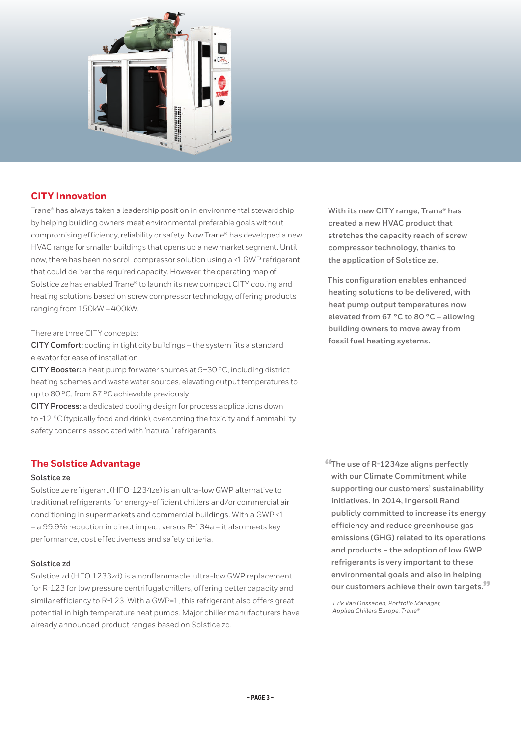

# **CITY Innovation**

Trane® has always taken a leadership position in environmental stewardship by helping building owners meet environmental preferable goals without compromising efficiency, reliability or safety. Now Trane® has developed a new HVAC range for smaller buildings that opens up a new market segment. Until now, there has been no scroll compressor solution using a <1 GWP refrigerant that could deliver the required capacity. However, the operating map of Solstice ze has enabled Trane® to launch its new compact CITY cooling and heating solutions based on screw compressor technology, offering products ranging from 150kW – 400kW.

#### There are three CITY concepts:

**CITY Comfort:** cooling in tight city buildings – the system fits a standard elevator for ease of installation

**CITY Booster:** a heat pump for water sources at 5–30 °C, including district heating schemes and waste water sources, elevating output temperatures to up to 80 °C, from 67 °C achievable previously

**CITY Process:** a dedicated cooling design for process applications down to -12 °C (typically food and drink), overcoming the toxicity and flammability safety concerns associated with 'natural' refrigerants.

# **The Solstice Advantage**

#### **Solstice ze**

Solstice ze refrigerant (HFO-1234ze) is an ultra-low GWP alternative to traditional refrigerants for energy-efficient chillers and/or commercial air conditioning in supermarkets and commercial buildings. With a GWP <1 – a 99.9% reduction in direct impact versus R-134a – it also meets key performance, cost effectiveness and safety criteria.

### **Solstice zd**

Solstice zd (HFO 1233zd) is a nonflammable, ultra-low GWP replacement for R-123 for low pressure centrifugal chillers, offering better capacity and similar efficiency to R-123. With a GWP=1, this refrigerant also offers great potential in high temperature heat pumps. Major chiller manufacturers have already announced product ranges based on Solstice zd.

**With its new CITY range, Trane® has created a new HVAC product that stretches the capacity reach of screw compressor technology, thanks to the application of Solstice ze.**

**This configuration enables enhanced heating solutions to be delivered, with heat pump output temperatures now elevated from 67 °C to 80 °C – allowing building owners to move away from fossil fuel heating systems.**

**"The use of R-1234ze aligns perfectly with our Climate Commitment while supporting our customers' sustainability initiatives. In 2014, Ingersoll Rand publicly committed to increase its energy efficiency and reduce greenhouse gas emissions (GHG) related to its operations and products – the adoption of low GWP refrigerants is very important to these environmental goals and also in helping our customers achieve their own targets."**

*Erik Van Oossanen, Portfolio Manager, Applied Chillers Europe, Trane®*